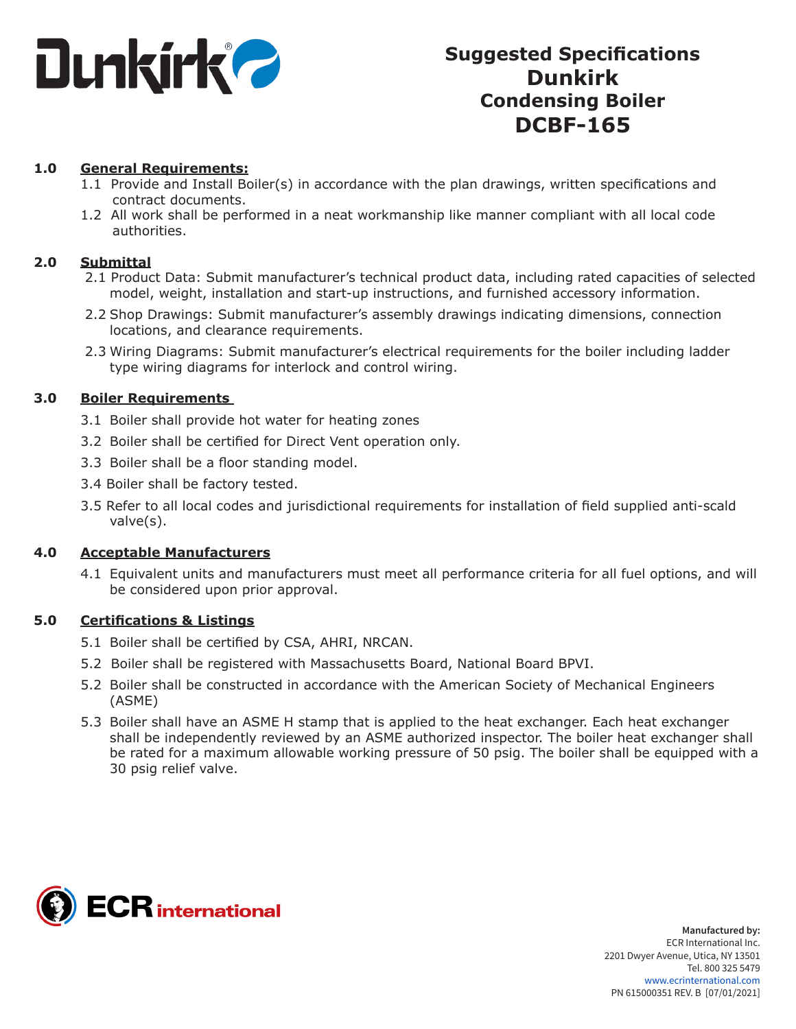

# **Suggested Specifications Dunkirk Condensing Boiler DCBF-165**

#### **1.0 General Requirements:**

- 1.1 Provide and Install Boiler(s) in accordance with the plan drawings, written specifications and contract documents.
- 1.2 All work shall be performed in a neat workmanship like manner compliant with all local code authorities.

#### **2.0 Submittal**

- 2.1 Product Data: Submit manufacturer's technical product data, including rated capacities of selected model, weight, installation and start-up instructions, and furnished accessory information.
- 2.2 Shop Drawings: Submit manufacturer's assembly drawings indicating dimensions, connection locations, and clearance requirements.
- 2.3 Wiring Diagrams: Submit manufacturer's electrical requirements for the boiler including ladder type wiring diagrams for interlock and control wiring.

#### **3.0 Boiler Requirements**

- 3.1 Boiler shall provide hot water for heating zones
- 3.2 Boiler shall be certified for Direct Vent operation only.
- 3.3 Boiler shall be a floor standing model.
- 3.4 Boiler shall be factory tested.
- 3.5 Refer to all local codes and jurisdictional requirements for installation of field supplied anti-scald valve(s).

#### **4.0 Acceptable Manufacturers**

4.1 Equivalent units and manufacturers must meet all performance criteria for all fuel options, and will be considered upon prior approval.

#### **5.0 Certifications & Listings**

- 5.1 Boiler shall be certified by CSA, AHRI, NRCAN.
- 5.2 Boiler shall be registered with Massachusetts Board, National Board BPVI.
- 5.2 Boiler shall be constructed in accordance with the American Society of Mechanical Engineers (ASME)
- 5.3 Boiler shall have an ASME H stamp that is applied to the heat exchanger. Each heat exchanger shall be independently reviewed by an ASME authorized inspector. The boiler heat exchanger shall be rated for a maximum allowable working pressure of 50 psig. The boiler shall be equipped with a 30 psig relief valve.

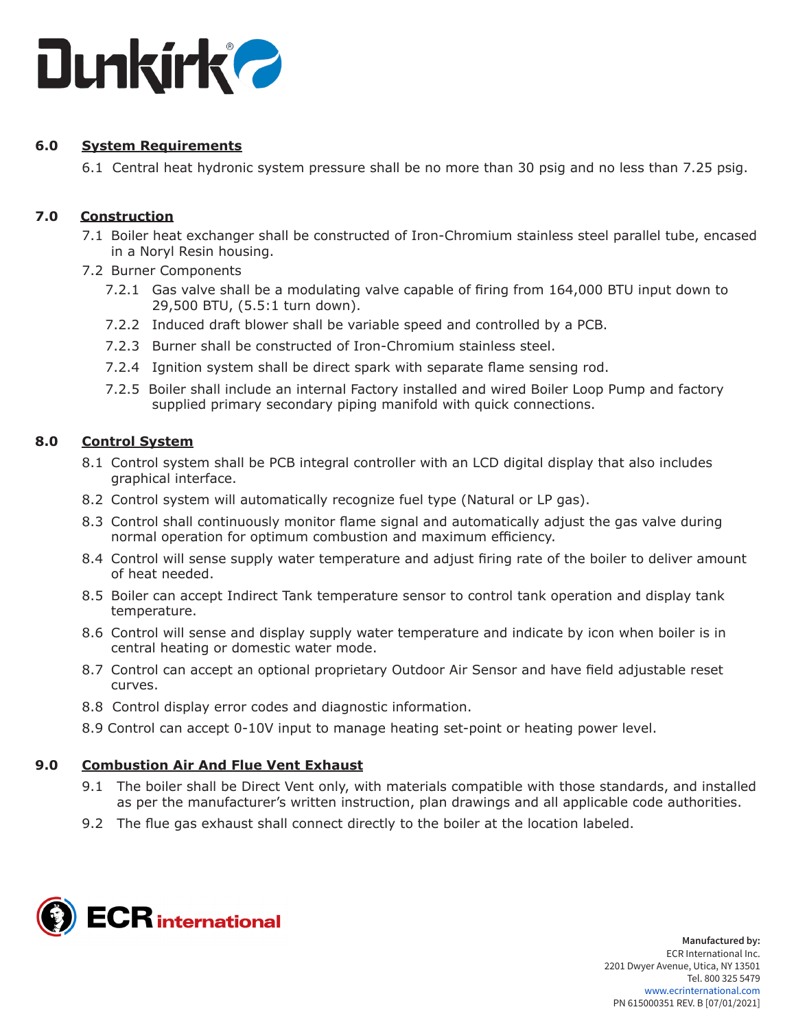

# **6.0 System Requirements**

6.1 Central heat hydronic system pressure shall be no more than 30 psig and no less than 7.25 psig.

# **7.0 Construction**

- 7.1 Boiler heat exchanger shall be constructed of Iron-Chromium stainless steel parallel tube, encased in a Noryl Resin housing.
- 7.2 Burner Components
	- 7.2.1 Gas valve shall be a modulating valve capable of firing from 164,000 BTU input down to 29,500 BTU, (5.5:1 turn down).
	- 7.2.2 Induced draft blower shall be variable speed and controlled by a PCB.
	- 7.2.3 Burner shall be constructed of Iron-Chromium stainless steel.
	- 7.2.4 Ignition system shall be direct spark with separate flame sensing rod.
	- 7.2.5 Boiler shall include an internal Factory installed and wired Boiler Loop Pump and factory supplied primary secondary piping manifold with quick connections.

# **8.0 Control System**

- 8.1 Control system shall be PCB integral controller with an LCD digital display that also includes graphical interface.
- 8.2 Control system will automatically recognize fuel type (Natural or LP gas).
- 8.3 Control shall continuously monitor flame signal and automatically adjust the gas valve during normal operation for optimum combustion and maximum efficiency.
- 8.4 Control will sense supply water temperature and adjust firing rate of the boiler to deliver amount of heat needed.
- 8.5 Boiler can accept Indirect Tank temperature sensor to control tank operation and display tank temperature.
- 8.6 Control will sense and display supply water temperature and indicate by icon when boiler is in central heating or domestic water mode.
- 8.7 Control can accept an optional proprietary Outdoor Air Sensor and have field adjustable reset curves.
- 8.8 Control display error codes and diagnostic information.
- 8.9 Control can accept 0-10V input to manage heating set-point or heating power level.

# **9.0 Combustion Air And Flue Vent Exhaust**

- 9.1 The boiler shall be Direct Vent only, with materials compatible with those standards, and installed as per the manufacturer's written instruction, plan drawings and all applicable code authorities.
- 9.2 The flue gas exhaust shall connect directly to the boiler at the location labeled.